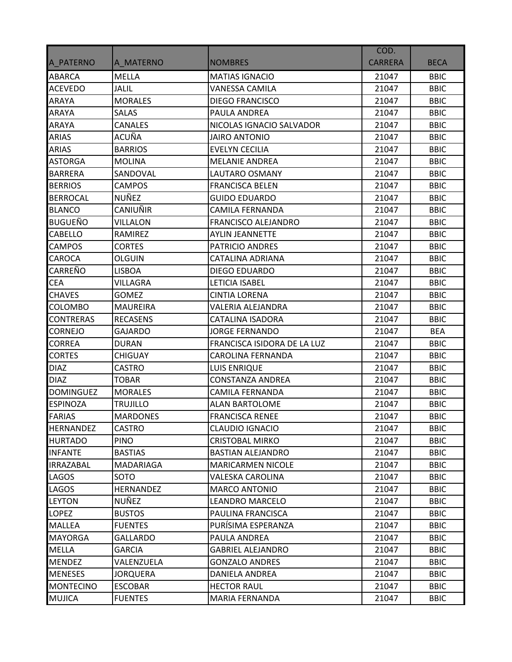|                  |                  |                             | COD.           |             |
|------------------|------------------|-----------------------------|----------------|-------------|
| A PATERNO        | A MATERNO        | <b>NOMBRES</b>              | <b>CARRERA</b> | <b>BECA</b> |
| ABARCA           | <b>MELLA</b>     | <b>MATIAS IGNACIO</b>       | 21047          | <b>BBIC</b> |
| <b>ACEVEDO</b>   | <b>JALIL</b>     | <b>VANESSA CAMILA</b>       | 21047          | <b>BBIC</b> |
| ARAYA            | <b>MORALES</b>   | <b>DIEGO FRANCISCO</b>      | 21047          | <b>BBIC</b> |
| ARAYA            | <b>SALAS</b>     | PAULA ANDREA                | 21047          | <b>BBIC</b> |
| ARAYA            | <b>CANALES</b>   | NICOLAS IGNACIO SALVADOR    | 21047          | <b>BBIC</b> |
| ARIAS            | ACUÑA            | <b>JAIRO ANTONIO</b>        | 21047          | <b>BBIC</b> |
| ARIAS            | <b>BARRIOS</b>   | <b>EVELYN CECILIA</b>       | 21047          | <b>BBIC</b> |
| <b>ASTORGA</b>   | <b>MOLINA</b>    | <b>MELANIE ANDREA</b>       | 21047          | <b>BBIC</b> |
| <b>BARRERA</b>   | SANDOVAL         | <b>LAUTARO OSMANY</b>       | 21047          | <b>BBIC</b> |
| <b>BERRIOS</b>   | <b>CAMPOS</b>    | <b>FRANCISCA BELEN</b>      | 21047          | <b>BBIC</b> |
| <b>BERROCAL</b>  | <b>NUÑEZ</b>     | <b>GUIDO EDUARDO</b>        | 21047          | <b>BBIC</b> |
| <b>BLANCO</b>    | CANIUÑIR         | <b>CAMILA FERNANDA</b>      | 21047          | <b>BBIC</b> |
| BUGUEÑO          | VILLALON         | <b>FRANCISCO ALEJANDRO</b>  | 21047          | <b>BBIC</b> |
| CABELLO          | RAMIREZ          | <b>AYLIN JEANNETTE</b>      | 21047          | <b>BBIC</b> |
| <b>CAMPOS</b>    | <b>CORTES</b>    | <b>PATRICIO ANDRES</b>      | 21047          | <b>BBIC</b> |
| <b>CAROCA</b>    | <b>OLGUIN</b>    | <b>CATALINA ADRIANA</b>     | 21047          | <b>BBIC</b> |
| CARREÑO          | <b>LISBOA</b>    | <b>DIEGO EDUARDO</b>        | 21047          | <b>BBIC</b> |
| <b>CEA</b>       | VILLAGRA         | LETICIA ISABEL              | 21047          | <b>BBIC</b> |
| <b>CHAVES</b>    | <b>GOMEZ</b>     | <b>CINTIA LORENA</b>        | 21047          | <b>BBIC</b> |
| COLOMBO          | <b>MAUREIRA</b>  | VALERIA ALEJANDRA           | 21047          | <b>BBIC</b> |
| <b>CONTRERAS</b> | <b>RECASENS</b>  | <b>CATALINA ISADORA</b>     | 21047          | <b>BBIC</b> |
| <b>CORNEJO</b>   | GAJARDO          | <b>JORGE FERNANDO</b>       | 21047          | <b>BEA</b>  |
| <b>CORREA</b>    | <b>DURAN</b>     | FRANCISCA ISIDORA DE LA LUZ | 21047          | <b>BBIC</b> |
| <b>CORTES</b>    | <b>CHIGUAY</b>   | <b>CAROLINA FERNANDA</b>    | 21047          | <b>BBIC</b> |
| <b>DIAZ</b>      | <b>CASTRO</b>    | <b>LUIS ENRIQUE</b>         | 21047          | <b>BBIC</b> |
| <b>DIAZ</b>      | <b>TOBAR</b>     | <b>CONSTANZA ANDREA</b>     | 21047          | <b>BBIC</b> |
| <b>DOMINGUEZ</b> | <b>MORALES</b>   | <b>CAMILA FERNANDA</b>      | 21047          | <b>BBIC</b> |
| <b>ESPINOZA</b>  | <b>TRUJILLO</b>  | <b>ALAN BARTOLOME</b>       | 21047          | <b>BBIC</b> |
| <b>FARIAS</b>    | <b>MARDONES</b>  | <b>FRANCISCA RENEE</b>      | 21047          | <b>BBIC</b> |
| <b>HERNANDEZ</b> | <b>CASTRO</b>    | <b>CLAUDIO IGNACIO</b>      | 21047          | <b>BBIC</b> |
| <b>HURTADO</b>   | <b>PINO</b>      | <b>CRISTOBAL MIRKO</b>      | 21047          | <b>BBIC</b> |
| <b>INFANTE</b>   | <b>BASTIAS</b>   | <b>BASTIAN ALEJANDRO</b>    | 21047          | <b>BBIC</b> |
| <b>IRRAZABAL</b> | MADARIAGA        | <b>MARICARMEN NICOLE</b>    | 21047          | <b>BBIC</b> |
| LAGOS            | SOTO             | <b>VALESKA CAROLINA</b>     | 21047          | <b>BBIC</b> |
| LAGOS            | <b>HERNANDEZ</b> | <b>MARCO ANTONIO</b>        | 21047          | <b>BBIC</b> |
| <b>LEYTON</b>    | NUÑEZ            | <b>LEANDRO MARCELO</b>      | 21047          | <b>BBIC</b> |
| <b>LOPEZ</b>     | <b>BUSTOS</b>    | PAULINA FRANCISCA           | 21047          | <b>BBIC</b> |
| <b>MALLEA</b>    | <b>FUENTES</b>   | PURÍSIMA ESPERANZA          | 21047          | <b>BBIC</b> |
| <b>MAYORGA</b>   | GALLARDO         | PAULA ANDREA                | 21047          | <b>BBIC</b> |
| MELLA            | <b>GARCIA</b>    | <b>GABRIEL ALEJANDRO</b>    | 21047          | <b>BBIC</b> |
| <b>MENDEZ</b>    | VALENZUELA       | <b>GONZALO ANDRES</b>       | 21047          | <b>BBIC</b> |
| <b>MENESES</b>   | <b>JORQUERA</b>  | DANIELA ANDREA              | 21047          | <b>BBIC</b> |
| <b>MONTECINO</b> | <b>ESCOBAR</b>   | <b>HECTOR RAUL</b>          | 21047          | <b>BBIC</b> |
| <b>MUJICA</b>    | <b>FUENTES</b>   | MARIA FERNANDA              | 21047          | <b>BBIC</b> |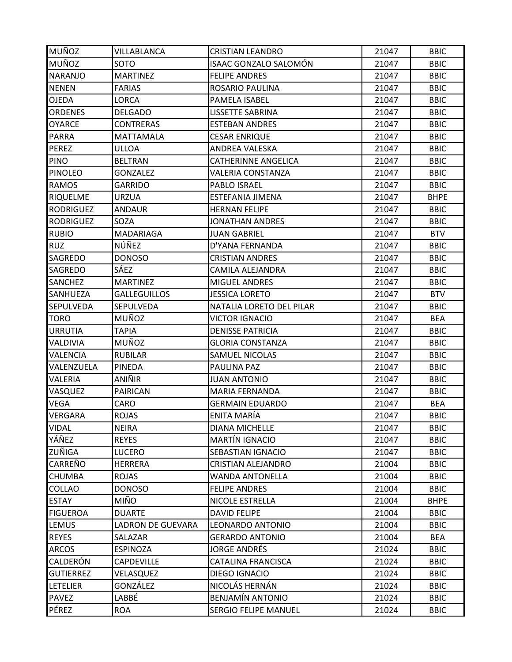| MUÑOZ            | VILLABLANCA              | <b>CRISTIAN LEANDRO</b>      | 21047 | <b>BBIC</b> |
|------------------|--------------------------|------------------------------|-------|-------------|
| <b>MUÑOZ</b>     | SOTO                     | <b>ISAAC GONZALO SALOMÓN</b> | 21047 | <b>BBIC</b> |
| <b>NARANJO</b>   | <b>MARTINEZ</b>          | <b>FELIPE ANDRES</b>         | 21047 | <b>BBIC</b> |
| <b>NENEN</b>     | <b>FARIAS</b>            | ROSARIO PAULINA              | 21047 | <b>BBIC</b> |
| <b>OJEDA</b>     | LORCA                    | PAMELA ISABEL                | 21047 | <b>BBIC</b> |
| <b>ORDENES</b>   | <b>DELGADO</b>           | LISSETTE SABRINA             | 21047 | <b>BBIC</b> |
| <b>OYARCE</b>    | <b>CONTRERAS</b>         | <b>ESTEBAN ANDRES</b>        | 21047 | <b>BBIC</b> |
| PARRA            | MATTAMALA                | <b>CESAR ENRIQUE</b>         | 21047 | <b>BBIC</b> |
| PEREZ            | ULLOA                    | <b>ANDREA VALESKA</b>        | 21047 | <b>BBIC</b> |
| <b>PINO</b>      | <b>BELTRAN</b>           | <b>CATHERINNE ANGELICA</b>   | 21047 | <b>BBIC</b> |
| <b>PINOLEO</b>   | <b>GONZALEZ</b>          | <b>VALERIA CONSTANZA</b>     | 21047 | <b>BBIC</b> |
| RAMOS            | <b>GARRIDO</b>           | PABLO ISRAEL                 | 21047 | <b>BBIC</b> |
| <b>RIQUELME</b>  | URZUA                    | ESTEFANIA JIMENA             | 21047 | <b>BHPE</b> |
| <b>RODRIGUEZ</b> | <b>ANDAUR</b>            | <b>HERNAN FELIPE</b>         | 21047 | <b>BBIC</b> |
| <b>RODRIGUEZ</b> | SOZA                     | <b>JONATHAN ANDRES</b>       | 21047 | <b>BBIC</b> |
| <b>RUBIO</b>     | <b>MADARIAGA</b>         | <b>JUAN GABRIEL</b>          | 21047 | <b>BTV</b>  |
| <b>RUZ</b>       | NÚÑEZ                    | D'YANA FERNANDA              | 21047 | <b>BBIC</b> |
| SAGREDO          | <b>DONOSO</b>            | <b>CRISTIAN ANDRES</b>       | 21047 | <b>BBIC</b> |
| SAGREDO          | SÁEZ                     | CAMILA ALEJANDRA             | 21047 | <b>BBIC</b> |
| SANCHEZ          | <b>MARTINEZ</b>          | <b>MIGUEL ANDRES</b>         | 21047 | <b>BBIC</b> |
| SANHUEZA         | <b>GALLEGUILLOS</b>      | <b>JESSICA LORETO</b>        | 21047 | <b>BTV</b>  |
| SEPULVEDA        | SEPULVEDA                | NATALIA LORETO DEL PILAR     | 21047 | <b>BBIC</b> |
| <b>TORO</b>      | MUÑOZ                    | <b>VICTOR IGNACIO</b>        | 21047 | <b>BEA</b>  |
| <b>URRUTIA</b>   | <b>TAPIA</b>             | <b>DENISSE PATRICIA</b>      | 21047 | <b>BBIC</b> |
| VALDIVIA         | MUÑOZ                    | <b>GLORIA CONSTANZA</b>      | 21047 | <b>BBIC</b> |
| VALENCIA         | <b>RUBILAR</b>           | <b>SAMUEL NICOLAS</b>        | 21047 | <b>BBIC</b> |
| VALENZUELA       | PINEDA                   | PAULINA PAZ                  | 21047 | <b>BBIC</b> |
| VALERIA          | ANIÑIR                   | <b>JUAN ANTONIO</b>          | 21047 | <b>BBIC</b> |
| VASQUEZ          | <b>PAIRICAN</b>          | MARIA FERNANDA               | 21047 | <b>BBIC</b> |
| VEGA             | CARO                     | <b>GERMAIN EDUARDO</b>       | 21047 | <b>BEA</b>  |
| VERGARA          | <b>ROJAS</b>             | ENITA MARÍA                  | 21047 | <b>BBIC</b> |
| VIDAL            | <b>NEIRA</b>             | <b>DIANA MICHELLE</b>        | 21047 | <b>BBIC</b> |
| YÁÑEZ            | <b>REYES</b>             | <b>MARTÍN IGNACIO</b>        | 21047 | <b>BBIC</b> |
| ZUÑIGA           | <b>LUCERO</b>            | SEBASTIAN IGNACIO            | 21047 | <b>BBIC</b> |
| CARREÑO          | <b>HERRERA</b>           | <b>CRISTIAN ALEJANDRO</b>    | 21004 | <b>BBIC</b> |
| <b>CHUMBA</b>    | <b>ROJAS</b>             | <b>WANDA ANTONELLA</b>       | 21004 | <b>BBIC</b> |
| COLLAO           | <b>DONOSO</b>            | <b>FELIPE ANDRES</b>         | 21004 | <b>BBIC</b> |
| <b>ESTAY</b>     | MIÑO                     | NICOLE ESTRELLA              | 21004 | <b>BHPE</b> |
| <b>FIGUEROA</b>  | <b>DUARTE</b>            | <b>DAVID FELIPE</b>          | 21004 | <b>BBIC</b> |
| LEMUS            | <b>LADRON DE GUEVARA</b> | <b>LEONARDO ANTONIO</b>      | 21004 | <b>BBIC</b> |
| <b>REYES</b>     | SALAZAR                  | <b>GERARDO ANTONIO</b>       | 21004 | <b>BEA</b>  |
| <b>ARCOS</b>     | <b>ESPINOZA</b>          | <b>JORGE ANDRÉS</b>          | 21024 | <b>BBIC</b> |
| CALDERÓN         | <b>CAPDEVILLE</b>        | <b>CATALINA FRANCISCA</b>    | 21024 | <b>BBIC</b> |
| <b>GUTIERREZ</b> | VELASQUEZ                | DIEGO IGNACIO                | 21024 | <b>BBIC</b> |
| LETELIER         | GONZÁLEZ                 | NICOLÁS HERNÁN               | 21024 | <b>BBIC</b> |
| <b>PAVEZ</b>     | LABBÉ                    | <b>BENJAMÍN ANTONIO</b>      | 21024 | <b>BBIC</b> |
| PÉREZ            | <b>ROA</b>               | <b>SERGIO FELIPE MANUEL</b>  | 21024 | <b>BBIC</b> |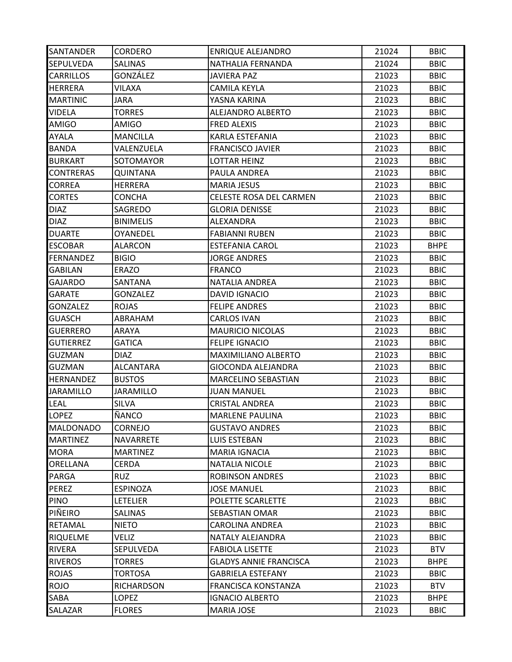| <b>SANTANDER</b> | <b>CORDERO</b>   | <b>ENRIQUE ALEJANDRO</b>      | 21024 | <b>BBIC</b> |
|------------------|------------------|-------------------------------|-------|-------------|
| <b>SEPULVEDA</b> | <b>SALINAS</b>   | NATHALIA FERNANDA             | 21024 | <b>BBIC</b> |
| <b>CARRILLOS</b> | GONZÁLEZ         | JAVIERA PAZ                   | 21023 | <b>BBIC</b> |
| <b>HERRERA</b>   | VILAXA           | <b>CAMILA KEYLA</b>           | 21023 | <b>BBIC</b> |
| <b>MARTINIC</b>  | JARA             | YASNA KARINA                  | 21023 | <b>BBIC</b> |
| VIDELA           | <b>TORRES</b>    | ALEJANDRO ALBERTO             | 21023 | <b>BBIC</b> |
| <b>AMIGO</b>     | <b>AMIGO</b>     | <b>FRED ALEXIS</b>            | 21023 | <b>BBIC</b> |
| AYALA            | <b>MANCILLA</b>  | KARLA ESTEFANIA               | 21023 | <b>BBIC</b> |
| <b>BANDA</b>     | VALENZUELA       | <b>FRANCISCO JAVIER</b>       | 21023 | <b>BBIC</b> |
| <b>BURKART</b>   | SOTOMAYOR        | <b>LOTTAR HEINZ</b>           | 21023 | <b>BBIC</b> |
| <b>CONTRERAS</b> | QUINTANA         | PAULA ANDREA                  | 21023 | <b>BBIC</b> |
| <b>CORREA</b>    | <b>HERRERA</b>   | <b>MARIA JESUS</b>            | 21023 | <b>BBIC</b> |
| <b>CORTES</b>    | <b>CONCHA</b>    | CELESTE ROSA DEL CARMEN       | 21023 | <b>BBIC</b> |
| <b>DIAZ</b>      | SAGREDO          | <b>GLORIA DENISSE</b>         | 21023 | <b>BBIC</b> |
| <b>DIAZ</b>      | <b>BINIMELIS</b> | ALEXANDRA                     | 21023 | <b>BBIC</b> |
| <b>DUARTE</b>    | <b>OYANEDEL</b>  | <b>FABIANNI RUBEN</b>         | 21023 | <b>BBIC</b> |
| <b>ESCOBAR</b>   | <b>ALARCON</b>   | <b>ESTEFANIA CAROL</b>        | 21023 | <b>BHPE</b> |
| <b>FERNANDEZ</b> | <b>BIGIO</b>     | <b>JORGE ANDRES</b>           | 21023 | <b>BBIC</b> |
| <b>GABILAN</b>   | <b>ERAZO</b>     | <b>FRANCO</b>                 | 21023 | <b>BBIC</b> |
| GAJARDO          | SANTANA          | <b>NATALIA ANDREA</b>         | 21023 | <b>BBIC</b> |
| <b>GARATE</b>    | <b>GONZALEZ</b>  | <b>DAVID IGNACIO</b>          | 21023 | <b>BBIC</b> |
| GONZALEZ         | <b>ROJAS</b>     | <b>FELIPE ANDRES</b>          | 21023 | <b>BBIC</b> |
| GUASCH           | ABRAHAM          | <b>CARLOS IVAN</b>            | 21023 | <b>BBIC</b> |
| <b>GUERRERO</b>  | ARAYA            | <b>MAURICIO NICOLAS</b>       | 21023 | <b>BBIC</b> |
| <b>GUTIERREZ</b> | GATICA           | <b>FELIPE IGNACIO</b>         | 21023 | <b>BBIC</b> |
| <b>GUZMAN</b>    | <b>DIAZ</b>      | MAXIMILIANO ALBERTO           | 21023 | <b>BBIC</b> |
| <b>GUZMAN</b>    | ALCANTARA        | GIOCONDA ALEJANDRA            | 21023 | <b>BBIC</b> |
| <b>HERNANDEZ</b> | <b>BUSTOS</b>    | MARCELINO SEBASTIAN           | 21023 | <b>BBIC</b> |
| <b>JARAMILLO</b> | <b>JARAMILLO</b> | <b>JUAN MANUEL</b>            | 21023 | <b>BBIC</b> |
| LEAL             | <b>SILVA</b>     | <b>CRISTAL ANDREA</b>         | 21023 | <b>BBIC</b> |
| <b>LOPEZ</b>     | ÑANCO            | <b>MARLENE PAULINA</b>        | 21023 | <b>BBIC</b> |
| <b>MALDONADO</b> | <b>CORNEJO</b>   | <b>GUSTAVO ANDRES</b>         | 21023 | <b>BBIC</b> |
| <b>MARTINEZ</b>  | NAVARRETE        | <b>LUIS ESTEBAN</b>           | 21023 | <b>BBIC</b> |
| <b>MORA</b>      | <b>MARTINEZ</b>  | <b>MARIA IGNACIA</b>          | 21023 | <b>BBIC</b> |
| ORELLANA         | <b>CERDA</b>     | <b>NATALIA NICOLE</b>         | 21023 | <b>BBIC</b> |
| PARGA            | <b>RUZ</b>       | <b>ROBINSON ANDRES</b>        | 21023 | <b>BBIC</b> |
| <b>PEREZ</b>     | <b>ESPINOZA</b>  | <b>JOSE MANUEL</b>            | 21023 | <b>BBIC</b> |
| PINO             | <b>LETELIER</b>  | POLETTE SCARLETTE             | 21023 | <b>BBIC</b> |
| PIÑEIRO          | <b>SALINAS</b>   | SEBASTIAN OMAR                | 21023 | <b>BBIC</b> |
| <b>RETAMAL</b>   | <b>NIETO</b>     | <b>CAROLINA ANDREA</b>        | 21023 | <b>BBIC</b> |
| <b>RIQUELME</b>  | VELIZ            | NATALY ALEJANDRA              | 21023 | <b>BBIC</b> |
| RIVERA           | SEPULVEDA        | <b>FABIOLA LISETTE</b>        | 21023 | <b>BTV</b>  |
| <b>RIVEROS</b>   | <b>TORRES</b>    | <b>GLADYS ANNIE FRANCISCA</b> | 21023 | <b>BHPE</b> |
| <b>ROJAS</b>     | <b>TORTOSA</b>   | <b>GABRIELA ESTEFANY</b>      | 21023 | <b>BBIC</b> |
| <b>ROJO</b>      | RICHARDSON       | FRANCISCA KONSTANZA           | 21023 | <b>BTV</b>  |
| SABA             | <b>LOPEZ</b>     | <b>IGNACIO ALBERTO</b>        | 21023 | <b>BHPE</b> |
| SALAZAR          | <b>FLORES</b>    | <b>MARIA JOSE</b>             | 21023 | <b>BBIC</b> |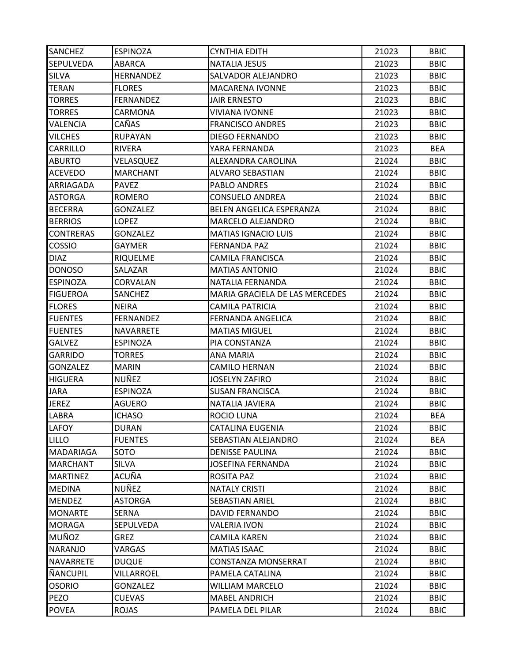| <b>SANCHEZ</b>   | <b>ESPINOZA</b>  | <b>CYNTHIA EDITH</b>           | 21023 | <b>BBIC</b> |
|------------------|------------------|--------------------------------|-------|-------------|
| <b>SEPULVEDA</b> | <b>ABARCA</b>    | <b>NATALIA JESUS</b>           | 21023 | <b>BBIC</b> |
| SILVA            | <b>HERNANDEZ</b> | SALVADOR ALEJANDRO             | 21023 | <b>BBIC</b> |
| TERAN            | <b>FLORES</b>    | <b>MACARENA IVONNE</b>         | 21023 | <b>BBIC</b> |
| <b>TORRES</b>    | <b>FERNANDEZ</b> | <b>JAIR ERNESTO</b>            | 21023 | <b>BBIC</b> |
| <b>TORRES</b>    | CARMONA          | <b>VIVIANA IVONNE</b>          | 21023 | <b>BBIC</b> |
| VALENCIA         | CAÑAS            | <b>FRANCISCO ANDRES</b>        | 21023 | <b>BBIC</b> |
| <b>VILCHES</b>   | <b>RUPAYAN</b>   | <b>DIEGO FERNANDO</b>          | 21023 | <b>BBIC</b> |
| CARRILLO         | <b>RIVERA</b>    | YARA FERNANDA                  | 21023 | <b>BEA</b>  |
| <b>ABURTO</b>    | VELASQUEZ        | ALEXANDRA CAROLINA             | 21024 | <b>BBIC</b> |
| <b>ACEVEDO</b>   | <b>MARCHANT</b>  | <b>ALVARO SEBASTIAN</b>        | 21024 | <b>BBIC</b> |
| ARRIAGADA        | <b>PAVEZ</b>     | PABLO ANDRES                   | 21024 | <b>BBIC</b> |
| ASTORGA          | <b>ROMERO</b>    | <b>CONSUELO ANDREA</b>         | 21024 | <b>BBIC</b> |
| <b>BECERRA</b>   | <b>GONZALEZ</b>  | BELEN ANGELICA ESPERANZA       | 21024 | <b>BBIC</b> |
| <b>BERRIOS</b>   | LOPEZ            | MARCELO ALEJANDRO              | 21024 | <b>BBIC</b> |
| <b>CONTRERAS</b> | <b>GONZALEZ</b>  | <b>MATIAS IGNACIO LUIS</b>     | 21024 | <b>BBIC</b> |
| <b>COSSIO</b>    | GAYMER           | FERNANDA PAZ                   | 21024 | <b>BBIC</b> |
| <b>DIAZ</b>      | <b>RIQUELME</b>  | <b>CAMILA FRANCISCA</b>        | 21024 | <b>BBIC</b> |
| <b>DONOSO</b>    | SALAZAR          | <b>MATIAS ANTONIO</b>          | 21024 | <b>BBIC</b> |
| <b>ESPINOZA</b>  | CORVALAN         | NATALIA FERNANDA               | 21024 | <b>BBIC</b> |
| <b>FIGUEROA</b>  | SANCHEZ          | MARIA GRACIELA DE LAS MERCEDES | 21024 | <b>BBIC</b> |
| <b>FLORES</b>    | <b>NEIRA</b>     | <b>CAMILA PATRICIA</b>         | 21024 | <b>BBIC</b> |
| <b>FUENTES</b>   | <b>FERNANDEZ</b> | FERNANDA ANGELICA              | 21024 | <b>BBIC</b> |
| <b>FUENTES</b>   | NAVARRETE        | <b>MATIAS MIGUEL</b>           | 21024 | <b>BBIC</b> |
| <b>GALVEZ</b>    | <b>ESPINOZA</b>  | PIA CONSTANZA                  | 21024 | <b>BBIC</b> |
| <b>GARRIDO</b>   | <b>TORRES</b>    | <b>ANA MARIA</b>               | 21024 | <b>BBIC</b> |
| <b>GONZALEZ</b>  | <b>MARIN</b>     | <b>CAMILO HERNAN</b>           | 21024 | <b>BBIC</b> |
| <b>HIGUERA</b>   | NUÑEZ            | <b>JOSELYN ZAFIRO</b>          | 21024 | <b>BBIC</b> |
| JARA             | <b>ESPINOZA</b>  | <b>SUSAN FRANCISCA</b>         | 21024 | <b>BBIC</b> |
| <b>JEREZ</b>     | AGUERO           | NATALIA JAVIERA                | 21024 | <b>BBIC</b> |
| LABRA            | <b>ICHASO</b>    | <b>ROCIO LUNA</b>              | 21024 | <b>BEA</b>  |
| LAFOY            | <b>DURAN</b>     | <b>CATALINA EUGENIA</b>        | 21024 | <b>BBIC</b> |
| <b>LILLO</b>     | <b>FUENTES</b>   | SEBASTIAN ALEJANDRO            | 21024 | <b>BEA</b>  |
| MADARIAGA        | SOTO             | <b>DENISSE PAULINA</b>         | 21024 | <b>BBIC</b> |
| <b>MARCHANT</b>  | <b>SILVA</b>     | <b>JOSEFINA FERNANDA</b>       | 21024 | <b>BBIC</b> |
| <b>MARTINEZ</b>  | ACUÑA            | ROSITA PAZ                     | 21024 | <b>BBIC</b> |
| <b>MEDINA</b>    | NUÑEZ            | <b>NATALY CRISTI</b>           | 21024 | <b>BBIC</b> |
| MENDEZ           | <b>ASTORGA</b>   | <b>SEBASTIAN ARIEL</b>         | 21024 | <b>BBIC</b> |
| <b>MONARTE</b>   | SERNA            | <b>DAVID FERNANDO</b>          | 21024 | <b>BBIC</b> |
| <b>MORAGA</b>    | <b>SEPULVEDA</b> | <b>VALERIA IVON</b>            | 21024 | <b>BBIC</b> |
| MUÑOZ            | <b>GREZ</b>      | <b>CAMILA KAREN</b>            | 21024 | <b>BBIC</b> |
| <b>NARANJO</b>   | VARGAS           | <b>MATIAS ISAAC</b>            | 21024 | <b>BBIC</b> |
| NAVARRETE        | <b>DUQUE</b>     | <b>CONSTANZA MONSERRAT</b>     | 21024 | <b>BBIC</b> |
| ÑANCUPIL         | VILLARROEL       | PAMELA CATALINA                | 21024 | <b>BBIC</b> |
| <b>OSORIO</b>    | <b>GONZALEZ</b>  | <b>WILLIAM MARCELO</b>         | 21024 | <b>BBIC</b> |
| PEZO             | <b>CUEVAS</b>    | <b>MABEL ANDRICH</b>           | 21024 | <b>BBIC</b> |
| <b>POVEA</b>     | <b>ROJAS</b>     | PAMELA DEL PILAR               | 21024 | <b>BBIC</b> |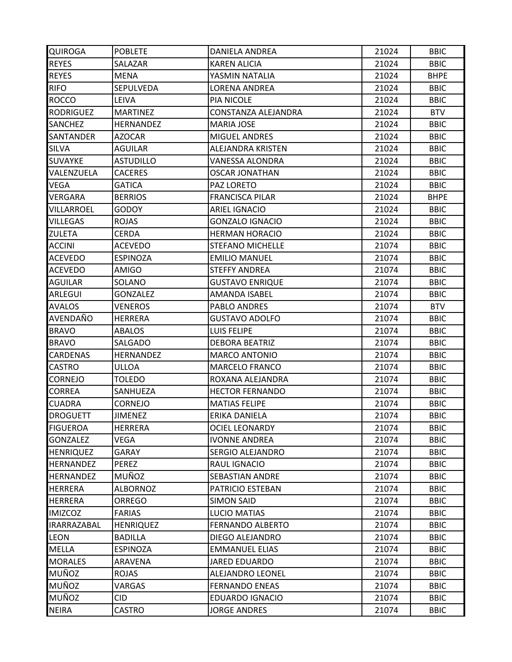| <b>QUIROGA</b>   | <b>POBLETE</b>   | <b>DANIELA ANDREA</b>    | 21024 | <b>BBIC</b> |
|------------------|------------------|--------------------------|-------|-------------|
| <b>REYES</b>     | SALAZAR          | <b>KAREN ALICIA</b>      | 21024 | <b>BBIC</b> |
| <b>REYES</b>     | MENA             | YASMIN NATALIA           | 21024 | <b>BHPE</b> |
| <b>RIFO</b>      | <b>SEPULVEDA</b> | <b>LORENA ANDREA</b>     | 21024 | <b>BBIC</b> |
| <b>ROCCO</b>     | <b>LEIVA</b>     | <b>PIA NICOLE</b>        | 21024 | <b>BBIC</b> |
| RODRIGUEZ        | <b>MARTINEZ</b>  | CONSTANZA ALEJANDRA      | 21024 | <b>BTV</b>  |
| <b>SANCHEZ</b>   | <b>HERNANDEZ</b> | <b>MARIA JOSE</b>        | 21024 | <b>BBIC</b> |
| SANTANDER        | AZOCAR           | <b>MIGUEL ANDRES</b>     | 21024 | <b>BBIC</b> |
| <b>SILVA</b>     | AGUILAR          | <b>ALEJANDRA KRISTEN</b> | 21024 | <b>BBIC</b> |
| <b>SUVAYKE</b>   | <b>ASTUDILLO</b> | VANESSA ALONDRA          | 21024 | <b>BBIC</b> |
| VALENZUELA       | <b>CACERES</b>   | <b>OSCAR JONATHAN</b>    | 21024 | <b>BBIC</b> |
| VEGA             | <b>GATICA</b>    | PAZ LORETO               | 21024 | <b>BBIC</b> |
| VERGARA          | <b>BERRIOS</b>   | <b>FRANCISCA PILAR</b>   | 21024 | <b>BHPE</b> |
| VILLARROEL       | <b>GODOY</b>     | <b>ARIEL IGNACIO</b>     | 21024 | <b>BBIC</b> |
| <b>VILLEGAS</b>  | <b>ROJAS</b>     | <b>GONZALO IGNACIO</b>   | 21024 | <b>BBIC</b> |
| ZULETA           | <b>CERDA</b>     | <b>HERMAN HORACIO</b>    | 21024 | <b>BBIC</b> |
| <b>ACCINI</b>    | <b>ACEVEDO</b>   | <b>STEFANO MICHELLE</b>  | 21074 | <b>BBIC</b> |
| <b>ACEVEDO</b>   | <b>ESPINOZA</b>  | <b>EMILIO MANUEL</b>     | 21074 | <b>BBIC</b> |
| <b>ACEVEDO</b>   | <b>AMIGO</b>     | <b>STEFFY ANDREA</b>     | 21074 | <b>BBIC</b> |
| AGUILAR          | SOLANO           | <b>GUSTAVO ENRIQUE</b>   | 21074 | <b>BBIC</b> |
| ARLEGUI          | <b>GONZALEZ</b>  | AMANDA ISABEL            | 21074 | <b>BBIC</b> |
| <b>AVALOS</b>    | VENEROS          | PABLO ANDRES             | 21074 | <b>BTV</b>  |
| AVENDAÑO         | <b>HERRERA</b>   | <b>GUSTAVO ADOLFO</b>    | 21074 | <b>BBIC</b> |
| <b>BRAVO</b>     | <b>ABALOS</b>    | <b>LUIS FELIPE</b>       | 21074 | <b>BBIC</b> |
| <b>BRAVO</b>     | SALGADO          | <b>DEBORA BEATRIZ</b>    | 21074 | <b>BBIC</b> |
| <b>CARDENAS</b>  | <b>HERNANDEZ</b> | <b>MARCO ANTONIO</b>     | 21074 | <b>BBIC</b> |
| <b>CASTRO</b>    | ULLOA            | <b>MARCELO FRANCO</b>    | 21074 | <b>BBIC</b> |
| <b>CORNEJO</b>   | <b>TOLEDO</b>    | ROXANA ALEJANDRA         | 21074 | <b>BBIC</b> |
| <b>CORREA</b>    | SANHUEZA         | <b>HECTOR FERNANDO</b>   | 21074 | <b>BBIC</b> |
| <b>CUADRA</b>    | CORNEJO          | <b>MATIAS FELIPE</b>     | 21074 | <b>BBIC</b> |
| <b>DROGUETT</b>  | <b>JIMENEZ</b>   | ERIKA DANIELA            | 21074 | <b>BBIC</b> |
| <b>FIGUEROA</b>  | <b>HERRERA</b>   | <b>OCIEL LEONARDY</b>    | 21074 | <b>BBIC</b> |
| <b>GONZALEZ</b>  | VEGA             | <b>IVONNE ANDREA</b>     | 21074 | <b>BBIC</b> |
| <b>HENRIQUEZ</b> | GARAY            | <b>SERGIO ALEJANDRO</b>  | 21074 | <b>BBIC</b> |
| <b>HERNANDEZ</b> | PEREZ            | RAUL IGNACIO             | 21074 | <b>BBIC</b> |
| <b>HERNANDEZ</b> | MUÑOZ            | <b>SEBASTIAN ANDRE</b>   | 21074 | <b>BBIC</b> |
| <b>HERRERA</b>   | <b>ALBORNOZ</b>  | PATRICIO ESTEBAN         | 21074 | <b>BBIC</b> |
| <b>HERRERA</b>   | <b>ORREGO</b>    | <b>SIMON SAID</b>        | 21074 | <b>BBIC</b> |
| <b>IMIZCOZ</b>   | <b>FARIAS</b>    | <b>LUCIO MATIAS</b>      | 21074 | <b>BBIC</b> |
| IRARRAZABAL      | <b>HENRIQUEZ</b> | <b>FERNANDO ALBERTO</b>  | 21074 | <b>BBIC</b> |
| <b>LEON</b>      | <b>BADILLA</b>   | DIEGO ALEJANDRO          | 21074 | <b>BBIC</b> |
| MELLA            | <b>ESPINOZA</b>  | <b>EMMANUEL ELIAS</b>    | 21074 | <b>BBIC</b> |
| <b>MORALES</b>   | ARAVENA          | <b>JARED EDUARDO</b>     | 21074 | <b>BBIC</b> |
| MUÑOZ            | <b>ROJAS</b>     | ALEJANDRO LEONEL         | 21074 | <b>BBIC</b> |
| MUÑOZ            | VARGAS           | <b>FERNANDO ENEAS</b>    | 21074 | <b>BBIC</b> |
| MUÑOZ            | CID              | <b>EDUARDO IGNACIO</b>   | 21074 | <b>BBIC</b> |
| <b>NEIRA</b>     | CASTRO           | <b>JORGE ANDRES</b>      | 21074 | <b>BBIC</b> |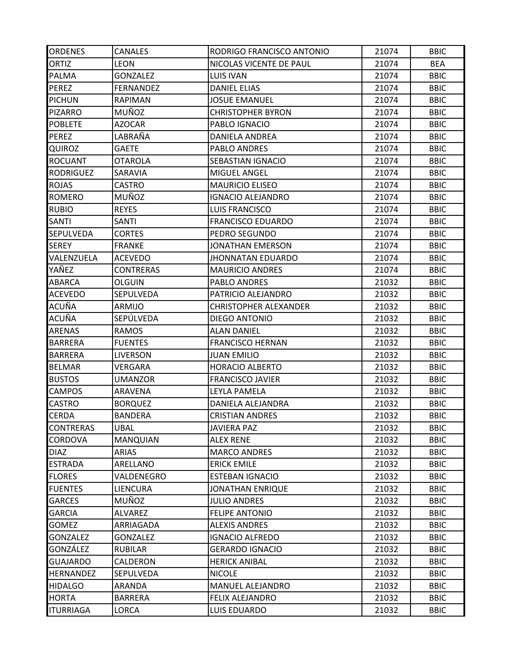| <b>ORDENES</b>   | <b>CANALES</b>   | RODRIGO FRANCISCO ANTONIO    | 21074 | <b>BBIC</b> |
|------------------|------------------|------------------------------|-------|-------------|
| <b>ORTIZ</b>     | <b>LEON</b>      | NICOLAS VICENTE DE PAUL      | 21074 | <b>BEA</b>  |
| <b>PALMA</b>     | <b>GONZALEZ</b>  | <b>LUIS IVAN</b>             | 21074 | <b>BBIC</b> |
| PEREZ            | <b>FERNANDEZ</b> | <b>DANIEL ELIAS</b>          | 21074 | <b>BBIC</b> |
| <b>PICHUN</b>    | <b>RAPIMAN</b>   | <b>JOSUE EMANUEL</b>         | 21074 | <b>BBIC</b> |
| <b>PIZARRO</b>   | MUÑOZ            | <b>CHRISTOPHER BYRON</b>     | 21074 | <b>BBIC</b> |
| <b>POBLETE</b>   | <b>AZOCAR</b>    | PABLO IGNACIO                | 21074 | <b>BBIC</b> |
| PEREZ            | LABRAÑA          | DANIELA ANDREA               | 21074 | <b>BBIC</b> |
| QUIROZ           | <b>GAETE</b>     | PABLO ANDRES                 | 21074 | <b>BBIC</b> |
| <b>ROCUANT</b>   | OTAROLA          | SEBASTIAN IGNACIO            | 21074 | <b>BBIC</b> |
| <b>RODRIGUEZ</b> | SARAVIA          | <b>MIGUEL ANGEL</b>          | 21074 | <b>BBIC</b> |
| <b>ROJAS</b>     | <b>CASTRO</b>    | <b>MAURICIO ELISEO</b>       | 21074 | <b>BBIC</b> |
| <b>ROMERO</b>    | MUÑOZ            | <b>IGNACIO ALEJANDRO</b>     | 21074 | <b>BBIC</b> |
| <b>RUBIO</b>     | <b>REYES</b>     | <b>LUIS FRANCISCO</b>        | 21074 | <b>BBIC</b> |
| SANTI            | SANTI            | <b>FRANCISCO EDUARDO</b>     | 21074 | <b>BBIC</b> |
| SEPULVEDA        | <b>CORTES</b>    | PEDRO SEGUNDO                | 21074 | <b>BBIC</b> |
| <b>SEREY</b>     | <b>FRANKE</b>    | <b>JONATHAN EMERSON</b>      | 21074 | <b>BBIC</b> |
| VALENZUELA       | <b>ACEVEDO</b>   | JHONNATAN EDUARDO            | 21074 | <b>BBIC</b> |
| YAÑEZ            | <b>CONTRERAS</b> | <b>MAURICIO ANDRES</b>       | 21074 | <b>BBIC</b> |
| ABARCA           | <b>OLGUIN</b>    | PABLO ANDRES                 | 21032 | <b>BBIC</b> |
| <b>ACEVEDO</b>   | <b>SEPULVEDA</b> | PATRICIO ALEJANDRO           | 21032 | <b>BBIC</b> |
| ACUÑA            | ARMIJO           | <b>CHRISTOPHER ALEXANDER</b> | 21032 | <b>BBIC</b> |
| ACUÑA            | SEPÚLVEDA        | <b>DIEGO ANTONIO</b>         | 21032 | <b>BBIC</b> |
| <b>ARENAS</b>    | <b>RAMOS</b>     | <b>ALAN DANIEL</b>           | 21032 | <b>BBIC</b> |
| <b>BARRERA</b>   | <b>FUENTES</b>   | <b>FRANCISCO HERNAN</b>      | 21032 | <b>BBIC</b> |
| <b>BARRERA</b>   | <b>LIVERSON</b>  | <b>JUAN EMILIO</b>           | 21032 | <b>BBIC</b> |
| <b>BELMAR</b>    | VERGARA          | <b>HORACIO ALBERTO</b>       | 21032 | <b>BBIC</b> |
| <b>BUSTOS</b>    | <b>UMANZOR</b>   | <b>FRANCISCO JAVIER</b>      | 21032 | <b>BBIC</b> |
| <b>CAMPOS</b>    | ARAVENA          | LEYLA PAMELA                 | 21032 | <b>BBIC</b> |
| CASTRO           | <b>BORQUEZ</b>   | DANIELA ALEJANDRA            | 21032 | <b>BBIC</b> |
| <b>CERDA</b>     | <b>BANDERA</b>   | <b>CRISTIAN ANDRES</b>       | 21032 | <b>BBIC</b> |
| <b>CONTRERAS</b> | <b>UBAL</b>      | <b>JAVIERA PAZ</b>           | 21032 | <b>BBIC</b> |
| CORDOVA          | MANQUIAN         | <b>ALEX RENE</b>             | 21032 | <b>BBIC</b> |
| <b>DIAZ</b>      | ARIAS            | <b>MARCO ANDRES</b>          | 21032 | <b>BBIC</b> |
| <b>ESTRADA</b>   | ARELLANO         | <b>ERICK EMILE</b>           | 21032 | <b>BBIC</b> |
| <b>FLORES</b>    | VALDENEGRO       | <b>ESTEBAN IGNACIO</b>       | 21032 | <b>BBIC</b> |
| <b>FUENTES</b>   | <b>LIENCURA</b>  | <b>JONATHAN ENRIQUE</b>      | 21032 | <b>BBIC</b> |
| <b>GARCES</b>    | MUÑOZ            | <b>JULIO ANDRES</b>          | 21032 | <b>BBIC</b> |
| <b>GARCIA</b>    | <b>ALVAREZ</b>   | <b>FELIPE ANTONIO</b>        | 21032 | <b>BBIC</b> |
| <b>GOMEZ</b>     | ARRIAGADA        | <b>ALEXIS ANDRES</b>         | 21032 | <b>BBIC</b> |
| <b>GONZALEZ</b>  | <b>GONZALEZ</b>  | <b>IGNACIO ALFREDO</b>       | 21032 | <b>BBIC</b> |
| GONZÁLEZ         | <b>RUBILAR</b>   | <b>GERARDO IGNACIO</b>       | 21032 | <b>BBIC</b> |
| <b>GUAJARDO</b>  | CALDERON         | <b>HERICK ANIBAL</b>         | 21032 | <b>BBIC</b> |
| <b>HERNANDEZ</b> | SEPULVEDA        | <b>NICOLE</b>                | 21032 | <b>BBIC</b> |
| <b>HIDALGO</b>   | ARANDA           | MANUEL ALEJANDRO             | 21032 | <b>BBIC</b> |
| <b>HORTA</b>     | BARRERA          | <b>FELIX ALEJANDRO</b>       | 21032 | <b>BBIC</b> |
| <b>ITURRIAGA</b> | LORCA            | LUIS EDUARDO                 | 21032 | <b>BBIC</b> |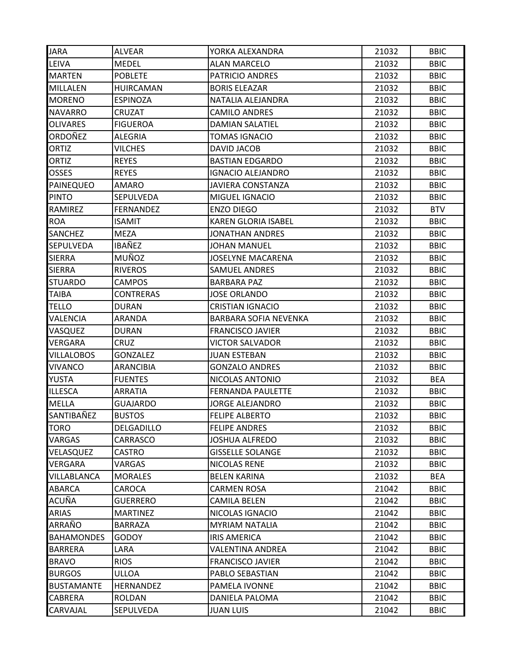| JARA              | ALVEAR           | YORKA ALEXANDRA            | 21032 | <b>BBIC</b> |
|-------------------|------------------|----------------------------|-------|-------------|
| LEIVA             | <b>MEDEL</b>     | <b>ALAN MARCELO</b>        | 21032 | <b>BBIC</b> |
| <b>MARTEN</b>     | <b>POBLETE</b>   | PATRICIO ANDRES            | 21032 | <b>BBIC</b> |
| <b>MILLALEN</b>   | <b>HUIRCAMAN</b> | <b>BORIS ELEAZAR</b>       | 21032 | <b>BBIC</b> |
| <b>MORENO</b>     | <b>ESPINOZA</b>  | NATALIA ALEJANDRA          | 21032 | <b>BBIC</b> |
| NAVARRO           | CRUZAT           | <b>CAMILO ANDRES</b>       | 21032 | <b>BBIC</b> |
| <b>OLIVARES</b>   | <b>FIGUEROA</b>  | <b>DAMIAN SALATIEL</b>     | 21032 | <b>BBIC</b> |
| ORDOÑEZ           | ALEGRIA          | <b>TOMAS IGNACIO</b>       | 21032 | <b>BBIC</b> |
| ORTIZ             | <b>VILCHES</b>   | DAVID JACOB                | 21032 | <b>BBIC</b> |
| <b>ORTIZ</b>      | <b>REYES</b>     | <b>BASTIAN EDGARDO</b>     | 21032 | <b>BBIC</b> |
| <b>OSSES</b>      | <b>REYES</b>     | <b>IGNACIO ALEJANDRO</b>   | 21032 | <b>BBIC</b> |
| PAINEQUEO         | AMARO            | <b>JAVIERA CONSTANZA</b>   | 21032 | <b>BBIC</b> |
| <b>PINTO</b>      | SEPULVEDA        | MIGUEL IGNACIO             | 21032 | <b>BBIC</b> |
| RAMIREZ           | <b>FERNANDEZ</b> | <b>ENZO DIEGO</b>          | 21032 | <b>BTV</b>  |
| <b>ROA</b>        | <b>ISAMIT</b>    | <b>KAREN GLORIA ISABEL</b> | 21032 | <b>BBIC</b> |
| <b>SANCHEZ</b>    | <b>MEZA</b>      | <b>JONATHAN ANDRES</b>     | 21032 | <b>BBIC</b> |
| <b>SEPULVEDA</b>  | <b>IBAÑEZ</b>    | <b>JOHAN MANUEL</b>        | 21032 | <b>BBIC</b> |
| <b>SIERRA</b>     | MUÑOZ            | <b>JOSELYNE MACARENA</b>   | 21032 | <b>BBIC</b> |
| <b>SIERRA</b>     | <b>RIVEROS</b>   | <b>SAMUEL ANDRES</b>       | 21032 | <b>BBIC</b> |
| <b>STUARDO</b>    | <b>CAMPOS</b>    | <b>BARBARA PAZ</b>         | 21032 | <b>BBIC</b> |
| <b>TAIBA</b>      | <b>CONTRERAS</b> | <b>JOSE ORLANDO</b>        | 21032 | <b>BBIC</b> |
| <b>TELLO</b>      | <b>DURAN</b>     | <b>CRISTIAN IGNACIO</b>    | 21032 | <b>BBIC</b> |
| VALENCIA          | ARANDA           | BARBARA SOFIA NEVENKA      | 21032 | <b>BBIC</b> |
| VASQUEZ           | <b>DURAN</b>     | <b>FRANCISCO JAVIER</b>    | 21032 | <b>BBIC</b> |
| VERGARA           | CRUZ             | <b>VICTOR SALVADOR</b>     | 21032 | <b>BBIC</b> |
| <b>VILLALOBOS</b> | <b>GONZALEZ</b>  | <b>JUAN ESTEBAN</b>        | 21032 | <b>BBIC</b> |
| <b>VIVANCO</b>    | <b>ARANCIBIA</b> | <b>GONZALO ANDRES</b>      | 21032 | <b>BBIC</b> |
| YUSTA             | <b>FUENTES</b>   | NICOLAS ANTONIO            | 21032 | <b>BEA</b>  |
| <b>ILLESCA</b>    | <b>ARRATIA</b>   | <b>FERNANDA PAULETTE</b>   | 21032 | <b>BBIC</b> |
| MELLA             | <b>GUAJARDO</b>  | <b>JORGE ALEJANDRO</b>     | 21032 | <b>BBIC</b> |
| SANTIBAÑEZ        | <b>BUSTOS</b>    | <b>FELIPE ALBERTO</b>      | 21032 | <b>BBIC</b> |
| TORO              | DELGADILLO       | <b>FELIPE ANDRES</b>       | 21032 | <b>BBIC</b> |
| VARGAS            | CARRASCO         | <b>JOSHUA ALFREDO</b>      | 21032 | <b>BBIC</b> |
| VELASQUEZ         | CASTRO           | <b>GISSELLE SOLANGE</b>    | 21032 | <b>BBIC</b> |
| VERGARA           | VARGAS           | NICOLAS RENE               | 21032 | <b>BBIC</b> |
| VILLABLANCA       | <b>MORALES</b>   | <b>BELEN KARINA</b>        | 21032 | <b>BEA</b>  |
| <b>ABARCA</b>     | CAROCA           | <b>CARMEN ROSA</b>         | 21042 | <b>BBIC</b> |
| ACUÑA             | <b>GUERRERO</b>  | <b>CAMILA BELEN</b>        | 21042 | <b>BBIC</b> |
| ARIAS             | <b>MARTINEZ</b>  | NICOLAS IGNACIO            | 21042 | <b>BBIC</b> |
| ARRAÑO            | <b>BARRAZA</b>   | <b>MYRIAM NATALIA</b>      | 21042 | <b>BBIC</b> |
| <b>BAHAMONDES</b> | <b>GODOY</b>     | <b>IRIS AMERICA</b>        | 21042 | <b>BBIC</b> |
| <b>BARRERA</b>    | LARA             | <b>VALENTINA ANDREA</b>    | 21042 | <b>BBIC</b> |
| <b>BRAVO</b>      | <b>RIOS</b>      | <b>FRANCISCO JAVIER</b>    | 21042 | <b>BBIC</b> |
| <b>BURGOS</b>     | ULLOA            | PABLO SEBASTIAN            | 21042 | <b>BBIC</b> |
| <b>BUSTAMANTE</b> | <b>HERNANDEZ</b> | PAMELA IVONNE              | 21042 | <b>BBIC</b> |
| CABRERA           | ROLDAN           | DANIELA PALOMA             | 21042 | <b>BBIC</b> |
| CARVAJAL          | SEPULVEDA        | <b>JUAN LUIS</b>           | 21042 | <b>BBIC</b> |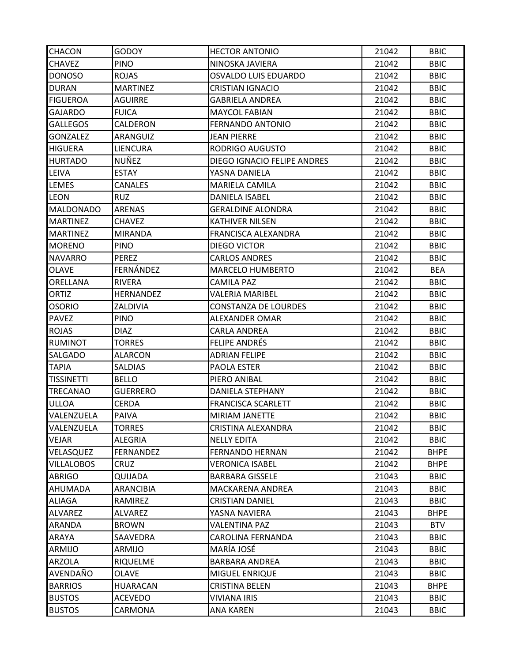| <b>CHACON</b>     | GODOY            | <b>HECTOR ANTONIO</b>       | 21042 | <b>BBIC</b> |
|-------------------|------------------|-----------------------------|-------|-------------|
| <b>CHAVEZ</b>     | <b>PINO</b>      | NINOSKA JAVIERA             | 21042 | <b>BBIC</b> |
| <b>DONOSO</b>     | <b>ROJAS</b>     | <b>OSVALDO LUIS EDUARDO</b> | 21042 | <b>BBIC</b> |
| <b>DURAN</b>      | <b>MARTINEZ</b>  | <b>CRISTIAN IGNACIO</b>     | 21042 | <b>BBIC</b> |
| <b>FIGUEROA</b>   | <b>AGUIRRE</b>   | <b>GABRIELA ANDREA</b>      | 21042 | <b>BBIC</b> |
| <b>GAJARDO</b>    | <b>FUICA</b>     | <b>MAYCOL FABIAN</b>        | 21042 | <b>BBIC</b> |
| <b>GALLEGOS</b>   | CALDERON         | <b>FERNANDO ANTONIO</b>     | 21042 | <b>BBIC</b> |
| <b>GONZALEZ</b>   | ARANGUIZ         | JEAN PIERRE                 | 21042 | <b>BBIC</b> |
| <b>HIGUERA</b>    | <b>LIENCURA</b>  | RODRIGO AUGUSTO             | 21042 | <b>BBIC</b> |
| <b>HURTADO</b>    | NUÑEZ            | DIEGO IGNACIO FELIPE ANDRES | 21042 | <b>BBIC</b> |
| LEIVA             | <b>ESTAY</b>     | YASNA DANIELA               | 21042 | <b>BBIC</b> |
| LEMES             | <b>CANALES</b>   | MARIELA CAMILA              | 21042 | <b>BBIC</b> |
| <b>LEON</b>       | <b>RUZ</b>       | <b>DANIELA ISABEL</b>       | 21042 | <b>BBIC</b> |
| <b>MALDONADO</b>  | <b>ARENAS</b>    | <b>GERALDINE ALONDRA</b>    | 21042 | <b>BBIC</b> |
| <b>MARTINEZ</b>   | CHAVEZ           | <b>KATHIVER NILSEN</b>      | 21042 | <b>BBIC</b> |
| <b>MARTINEZ</b>   | <b>MIRANDA</b>   | FRANCISCA ALEXANDRA         | 21042 | <b>BBIC</b> |
| <b>MORENO</b>     | <b>PINO</b>      | DIEGO VICTOR                | 21042 | <b>BBIC</b> |
| NAVARRO           | <b>PFRFZ</b>     | <b>CARLOS ANDRES</b>        | 21042 | <b>BBIC</b> |
| <b>OLAVE</b>      | FERNÁNDEZ        | <b>MARCELO HUMBERTO</b>     | 21042 | <b>BEA</b>  |
| ORELLANA          | RIVERA           | <b>CAMILA PAZ</b>           | 21042 | <b>BBIC</b> |
| ORTIZ             | <b>HERNANDEZ</b> | <b>VALERIA MARIBEL</b>      | 21042 | <b>BBIC</b> |
| <b>OSORIO</b>     | ZALDIVIA         | <b>CONSTANZA DE LOURDES</b> | 21042 | <b>BBIC</b> |
| <b>PAVEZ</b>      | <b>PINO</b>      | ALEXANDER OMAR              | 21042 | <b>BBIC</b> |
| <b>ROJAS</b>      | <b>DIAZ</b>      | <b>CARLA ANDREA</b>         | 21042 | <b>BBIC</b> |
| RUMINOT           | <b>TORRES</b>    | <b>FELIPE ANDRÉS</b>        | 21042 | <b>BBIC</b> |
| SALGADO           | <b>ALARCON</b>   | <b>ADRIAN FELIPE</b>        | 21042 | <b>BBIC</b> |
| <b>TAPIA</b>      | <b>SALDIAS</b>   | PAOLA ESTER                 | 21042 | <b>BBIC</b> |
| <b>TISSINETTI</b> | <b>BELLO</b>     | PIERO ANIBAL                | 21042 | <b>BBIC</b> |
| TRECANAO          | <b>GUERRERO</b>  | DANIELA STEPHANY            | 21042 | <b>BBIC</b> |
| ULLOA             | <b>CERDA</b>     | <b>FRANCISCA SCARLETT</b>   | 21042 | <b>BBIC</b> |
| VALENZUELA        | <b>PAIVA</b>     | <b>MIRIAM JANETTE</b>       | 21042 | <b>BBIC</b> |
| VALENZUELA        | <b>TORRES</b>    | CRISTINA ALEXANDRA          | 21042 | <b>BBIC</b> |
| VEJAR             | <b>ALEGRIA</b>   | <b>NELLY EDITA</b>          | 21042 | <b>BBIC</b> |
| VELASQUEZ         | <b>FERNANDEZ</b> | <b>FERNANDO HERNAN</b>      | 21042 | <b>BHPE</b> |
| <b>VILLALOBOS</b> | <b>CRUZ</b>      | <b>VERONICA ISABEL</b>      | 21042 | <b>BHPE</b> |
| <b>ABRIGO</b>     | QUIJADA          | <b>BARBARA GISSELE</b>      | 21043 | <b>BBIC</b> |
| AHUMADA           | ARANCIBIA        | MACKARENA ANDREA            | 21043 | <b>BBIC</b> |
| ALIAGA            | RAMIREZ          | <b>CRISTIAN DANIEL</b>      | 21043 | <b>BBIC</b> |
| <b>ALVAREZ</b>    | ALVAREZ          | YASNA NAVIERA               | 21043 | <b>BHPE</b> |
| ARANDA            | <b>BROWN</b>     | <b>VALENTINA PAZ</b>        | 21043 | <b>BTV</b>  |
| ARAYA             | SAAVEDRA         | <b>CAROLINA FERNANDA</b>    | 21043 | <b>BBIC</b> |
| ARMIJO            | ARMIJO           | MARÍA JOSÉ                  | 21043 | <b>BBIC</b> |
| ARZOLA            | RIQUELME         | <b>BARBARA ANDREA</b>       | 21043 | <b>BBIC</b> |
| AVENDAÑO          | OLAVE            | <b>MIGUEL ENRIQUE</b>       | 21043 | <b>BBIC</b> |
| <b>BARRIOS</b>    | <b>HUARACAN</b>  | <b>CRISTINA BELEN</b>       | 21043 | <b>BHPE</b> |
| <b>BUSTOS</b>     | ACEVEDO          | <b>VIVIANA IRIS</b>         | 21043 | <b>BBIC</b> |
| <b>BUSTOS</b>     | CARMONA          | ANA KAREN                   | 21043 | <b>BBIC</b> |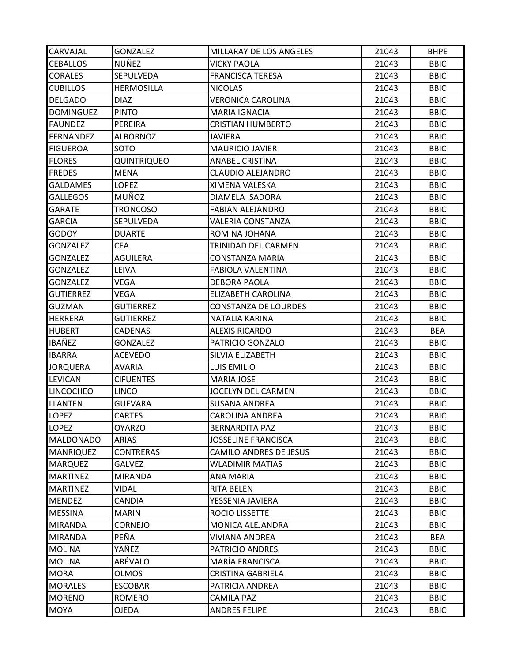| CARVAJAL         | <b>GONZALEZ</b>   | MILLARAY DE LOS ANGELES       | 21043 | <b>BHPE</b> |
|------------------|-------------------|-------------------------------|-------|-------------|
| <b>CEBALLOS</b>  | <b>NUÑEZ</b>      | <b>VICKY PAOLA</b>            | 21043 | <b>BBIC</b> |
| <b>CORALES</b>   | SEPULVEDA         | <b>FRANCISCA TERESA</b>       | 21043 | <b>BBIC</b> |
| <b>CUBILLOS</b>  | <b>HERMOSILLA</b> | <b>NICOLAS</b>                | 21043 | <b>BBIC</b> |
| <b>DELGADO</b>   | <b>DIAZ</b>       | <b>VERONICA CAROLINA</b>      | 21043 | <b>BBIC</b> |
| <b>DOMINGUEZ</b> | <b>PINTO</b>      | <b>MARIA IGNACIA</b>          | 21043 | <b>BBIC</b> |
| <b>FAUNDEZ</b>   | PEREIRA           | <b>CRISTIAN HUMBERTO</b>      | 21043 | <b>BBIC</b> |
| <b>FERNANDEZ</b> | <b>ALBORNOZ</b>   | JAVIERA                       | 21043 | <b>BBIC</b> |
| <b>FIGUEROA</b>  | SOTO              | <b>MAURICIO JAVIER</b>        | 21043 | <b>BBIC</b> |
| <b>FLORES</b>    | QUINTRIQUEO       | <b>ANABEL CRISTINA</b>        | 21043 | <b>BBIC</b> |
| <b>FREDES</b>    | <b>MENA</b>       | <b>CLAUDIO ALEJANDRO</b>      | 21043 | <b>BBIC</b> |
| <b>GALDAMES</b>  | <b>LOPEZ</b>      | XIMENA VALESKA                | 21043 | <b>BBIC</b> |
| <b>GALLEGOS</b>  | <b>MUÑOZ</b>      | DIAMELA ISADORA               | 21043 | <b>BBIC</b> |
| <b>GARATE</b>    | <b>TRONCOSO</b>   | <b>FABIAN ALEJANDRO</b>       | 21043 | <b>BBIC</b> |
| <b>GARCIA</b>    | SEPULVEDA         | <b>VALERIA CONSTANZA</b>      | 21043 | <b>BBIC</b> |
| GODOY            | <b>DUARTE</b>     | ROMINA JOHANA                 | 21043 | <b>BBIC</b> |
| <b>GONZALEZ</b>  | <b>CEA</b>        | TRINIDAD DEL CARMEN           | 21043 | <b>BBIC</b> |
| <b>GONZALEZ</b>  | AGUILERA          | <b>CONSTANZA MARIA</b>        | 21043 | <b>BBIC</b> |
| <b>GONZALEZ</b>  | LEIVA             | <b>FABIOLA VALENTINA</b>      | 21043 | <b>BBIC</b> |
| <b>GONZALEZ</b>  | VEGA              | <b>DEBORA PAOLA</b>           | 21043 | <b>BBIC</b> |
| <b>GUTIERREZ</b> | VEGA              | ELIZABETH CAROLINA            | 21043 | <b>BBIC</b> |
| <b>GUZMAN</b>    | <b>GUTIERREZ</b>  | <b>CONSTANZA DE LOURDES</b>   | 21043 | <b>BBIC</b> |
| <b>HERRERA</b>   | <b>GUTIERREZ</b>  | NATALIA KARINA                | 21043 | <b>BBIC</b> |
| <b>HUBERT</b>    | <b>CADENAS</b>    | <b>ALEXIS RICARDO</b>         | 21043 | <b>BEA</b>  |
| IBAÑEZ           | <b>GONZALEZ</b>   | PATRICIO GONZALO              | 21043 | <b>BBIC</b> |
| <b>IBARRA</b>    | <b>ACEVEDO</b>    | SILVIA ELIZABETH              | 21043 | <b>BBIC</b> |
| JORQUERA         | <b>AVARIA</b>     | LUIS EMILIO                   | 21043 | <b>BBIC</b> |
| LEVICAN          | <b>CIFUENTES</b>  | <b>MARIA JOSE</b>             | 21043 | <b>BBIC</b> |
| <b>LINCOCHEO</b> | <b>LINCO</b>      | <b>JOCELYN DEL CARMEN</b>     | 21043 | <b>BBIC</b> |
| <b>LLANTEN</b>   | <b>GUEVARA</b>    | <b>SUSANA ANDREA</b>          | 21043 | <b>BBIC</b> |
| <b>LOPEZ</b>     | <b>CARTES</b>     | <b>CAROLINA ANDREA</b>        | 21043 | <b>BBIC</b> |
| <b>LOPEZ</b>     | OYARZO            | <b>BERNARDITA PAZ</b>         | 21043 | <b>BBIC</b> |
| <b>MALDONADO</b> | <b>ARIAS</b>      | <b>JOSSELINE FRANCISCA</b>    | 21043 | <b>BBIC</b> |
| <b>MANRIQUEZ</b> | <b>CONTRERAS</b>  | <b>CAMILO ANDRES DE JESUS</b> | 21043 | <b>BBIC</b> |
| <b>MARQUEZ</b>   | <b>GALVEZ</b>     | <b>WLADIMIR MATIAS</b>        | 21043 | <b>BBIC</b> |
| <b>MARTINEZ</b>  | <b>MIRANDA</b>    | ANA MARIA                     | 21043 | <b>BBIC</b> |
| <b>MARTINEZ</b>  | VIDAL             | <b>RITA BELEN</b>             | 21043 | <b>BBIC</b> |
| MENDEZ           | CANDIA            | YESSENIA JAVIERA              | 21043 | <b>BBIC</b> |
| <b>MESSINA</b>   | <b>MARIN</b>      | <b>ROCIO LISSETTE</b>         | 21043 | <b>BBIC</b> |
| <b>MIRANDA</b>   | <b>CORNEJO</b>    | MONICA ALEJANDRA              | 21043 | <b>BBIC</b> |
| MIRANDA          | PEÑA              | <b>VIVIANA ANDREA</b>         | 21043 | <b>BEA</b>  |
| <b>MOLINA</b>    | YAÑEZ             | PATRICIO ANDRES               | 21043 | <b>BBIC</b> |
| <b>MOLINA</b>    | ARÉVALO           | MARÍA FRANCISCA               | 21043 | <b>BBIC</b> |
| <b>MORA</b>      | OLMOS             | <b>CRISTINA GABRIELA</b>      | 21043 | <b>BBIC</b> |
| <b>MORALES</b>   | <b>ESCOBAR</b>    | PATRICIA ANDREA               | 21043 | <b>BBIC</b> |
| <b>MORENO</b>    | <b>ROMERO</b>     | <b>CAMILA PAZ</b>             | 21043 | <b>BBIC</b> |
| <b>MOYA</b>      | OJEDA             | <b>ANDRES FELIPE</b>          | 21043 | <b>BBIC</b> |